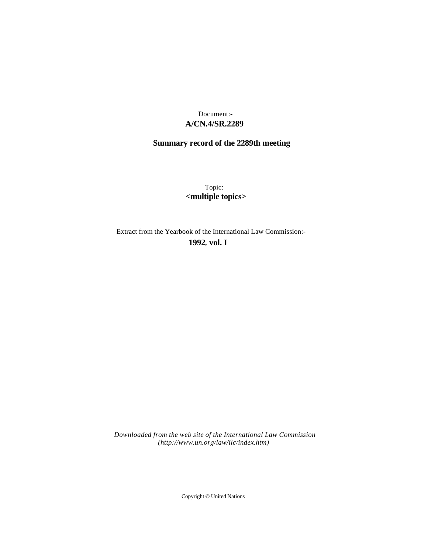## **A/CN.4/SR.2289** Document:-

## **Summary record of the 2289th meeting**

Topic: **<multiple topics>**

Extract from the Yearbook of the International Law Commission:-

**1992** , **vol. I**

*Downloaded from the web site of the International Law Commission (http://www.un.org/law/ilc/index.htm)*

Copyright © United Nations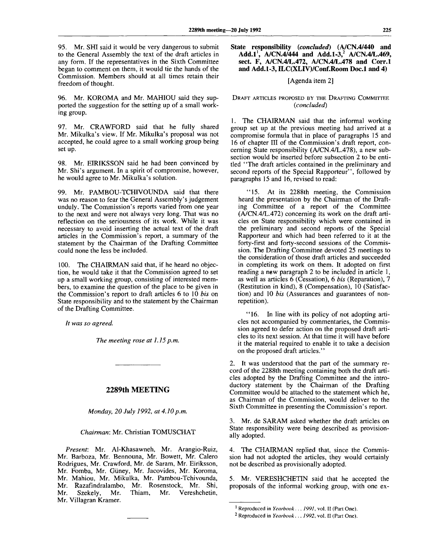95. Mr. SHI said it would be very dangerous to submit to the General Assembly the text of the draft articles in any form. If the representatives in the Sixth Committee began to comment on them, it would tie the hands of the Commission. Members should at all times retain their freedom of thought.

96. Mr. KOROMA and Mr. MAHIOU said they supported the suggestion for the setting up of a small working group.

97. Mr. CRAWFORD said that he fully shared Mr. Mikulka's view. If Mr. Mikulka's proposal was not accepted, he could agree to a small working group being set up.

98. Mr. EIRIKSSON said he had been convinced by Mr. Shi's argument. In a spirit of compromise, however, he would agree to Mr. Mikulka's solution.

99. Mr. PAMBOU-TCHIVOUNDA said that there was no reason to fear the General Assembly's judgement unduly. The Commission's reports varied from one year to the next and were not always very long. That was no reflection on the seriousness of its work. While it was necessary to avoid inserting the actual text of the draft articles in the Commission's report, a summary of the statement by the Chairman of the Drafting Committee could none the less be included.

100. The CHAIRMAN said that, if he heard no objection, he would take it that the Commission agreed to set up a small working group, consisting of interested members, to examine the question of the place to be given in the Commission's report to draft articles 6 to 10 *bis* on State responsibility and to the statement by the Chairman of the Drafting Committee.

*It was so agreed.*

*The meeting rose at 1.15 p.m.*

## **2289th MEETING**

*Monday, 20 July 1992, at 4.10 p.m.*

## *Chairman:* Mr. Christian TOMUSCHAT

*Present:* Mr. Al-Khasawneh, Mr. Arangio-Ruiz, Mr. Barboza, Mr. Bennouna, Mr. Bowett, Mr. Calero Rodrigues, Mr. Crawford, Mr. de Saram, Mr. Eiriksson, Mr. Fomba, Mr. Giiney, Mr. Jacovides, Mr. Koroma, Mr. Mahiou, Mr. Mikulka, Mr. Pambou-Tchivounda, Mr. Razafindralambo, Mr. Rosenstock, Mr. Shi,<br>Mr. Szekely, Mr. Thiam, Mr. Vereshchetin, Mr. Szekely, Mr. Thiam, Mr. Vereshchetin, Mr. Villagran Kramer.

**State responsibility** *(concluded)* **(A/CN.4/440 and Add.1<sup>1</sup> , A/CN.4/444 and Add.1-3,<sup>2</sup> A/CN.4/L.469, sect. F, A/CN.4/L.472, A/CN.4/L.478 and Corr.l and Add.1-3, ILC(XLIV)/Conf.Room Doc.l and 4)**

### [Agenda item 2]

### DRAFT ARTICLES PROPOSED BY THE DRAFTING COMMITTEE *(concluded)*

1. The CHAIRMAN said that the informal working group set up at the previous meeting had arrived at a compromise formula that in place of paragraphs 15 and 16 of chapter III of the Commission's draft report, concerning State responsibility (A/CN.4/L.478), a new subsection would be inserted before subsection 2 to be entitled "The draft articles contained in the preliminary and second reports of the Special Rapporteur", followed by paragraphs 15 and 16, revised to read:

"15. At its 2288th meeting, the Commission heard the presentation by the Chairman of the Drafting Committee of a report of the Committee (A/CN.4/L.472) concerning its work on the draft articles on State responsibility which were contained in the preliminary and second reports of the Special Rapporteur and which had been referred to it at the forty-first and forty-second sessions of the Commission. The Drafting Committee devoted 25 meetings to the consideration of those draft articles and succeeded in completing its work on them. It adopted on first reading a new paragraph 2 to be included in article 1, as well as articles 6 (Cessation), 6 *bis* (Reparation), 7 (Restitution in kind), 8 (Compensation), 10 (Satisfaction) and 10 *bis* (Assurances and guarantees of nonrepetition).

"16. In line with its policy of not adopting articles not accompanied by commentaries, the Commission agreed to defer action on the proposed draft articles to its next session. At that time it will have before it the material required to enable it to take a decision on the proposed draft articles."

2. It was understood that the part of the summary record of the 2288th meeting containing both the draft articles adopted by the Drafting Committee and the introductory statement by the Chairman of the Drafting Committee would be attached to the statement which he, as Chairman of the Commission, would deliver to the Sixth Committee in presenting the Commission's report.

3. Mr. de SARAM asked whether the draft articles on State responsibility were being described as provisionally adopted.

4. The CHAIRMAN replied that, since the Commission had not adopted the articles, they would certainly not be described as provisionally adopted.

5. Mr. VERESHCHETIN said that he accepted the proposals of the informal working group, with one ex-

<sup>1</sup> Reproduced in *Yearbook. .. 1991,* vol. II (Part One).

<sup>2</sup> Reproduced in *Yearbook. . . 1992,* vol. II (Part One).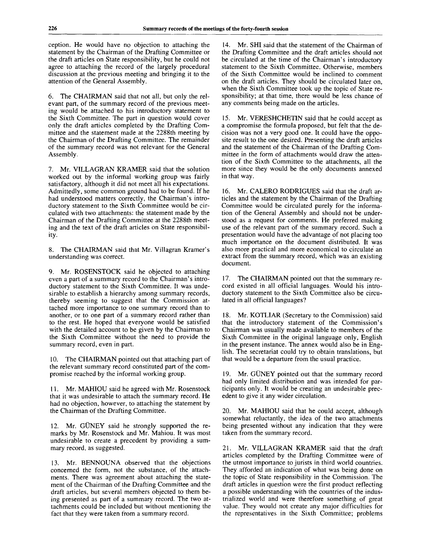ception. He would have no objection to attaching the statement by the Chairman of the Drafting Committee or the draft articles on State responsibility, but he could not agree to attaching the record of the largely procedural discussion at the previous meeting and bringing it to the attention of the General Assembly.

6. The CHAIRMAN said that not all, but only the relevant part, of the summary record of the previous meeting would be attached to his introductory statement to the Sixth Committee. The part in question would cover only the draft articles completed by the Drafting Committee and the statement made at the 2288th meeting by the Chairman of the Drafting Committee. The remainder of the summary record was not relevant for the General Assembly.

7. Mr. VILLAGRAN KRAMER said that the solution worked out by the informal working group was fairly satisfactory, although it did not meet all his expectations. Admittedly, some common ground had to be found. If he had understood matters correctly, the Chairman's introductory statement to the Sixth Committee would be circulated with two attachments: the statement made by the Chairman of the Drafting Committee at the 2288th meeting and the text of the draft articles on State responsibility.

8. The CHAIRMAN said that Mr. Villagran Kramer's understanding was correct.

9. Mr. ROSENSTOCK said he objected to attaching even a part of a summary record to the Chairman's introductory statement to the Sixth Committee. It was undesirable to establish a hierarchy among summary records, thereby seeming to suggest that the Commission attached more importance to one summary record than to another, or to one part of a summary record rather than to the rest. He hoped that everyone would be satisfied with the detailed account to be given by the Chairman to the Sixth Committee without the need to provide the summary record, even in part.

10. The CHAIRMAN pointed out that attaching part of the relevant summary record constituted part of the compromise reached by the informal working group.

11. Mr. MAHIOU said he agreed with Mr. Rosenstock that it was undesirable to attach the summary record. He had no objection, however, to attaching the statement by the Chairman of the Drafting Committee.

12. Mr. GÜNEY said he strongly supported the remarks by Mr. Rosenstock and Mr. Mahiou. It was most undesirable to create a precedent by providing a summary record, as suggested.

13. Mr. BENNOUNA observed that the objections concerned the form, not the substance, of the attachments. There was agreement about attaching the statement of the Chairman of the Drafting Committee and the draft articles, but several members objected to them being presented as part of a summary record. The two attachments could be included but without mentioning the fact that they were taken from a summary record.

14. Mr. SHI said that the statement of the Chairman of the Drafting Committee and the draft articles should not be circulated at the time of the Chairman's introductory statement to the Sixth Committee. Otherwise, members of the Sixth Committee would be inclined to comment on the draft articles. They should be circulated later on, when the Sixth Committee took up the topic of State responsibility; at that time, there would be less chance of any comments being made on the articles.

15. Mr. VERESHCHETIN said that he could accept as a compromise the formula proposed, but felt that the decision was not a very good one. It could have the opposite result to the one desired. Presenting the draft articles and the statement of the Chairman of the Drafting Committee in the form of attachments would draw the attention of the Sixth Committee to the attachments, all the more since they would be the only documents annexed in that way.

16. Mr. CALERO RODRIGUES said that the draft articles and the statement by the Chairman of the Drafting Committee would be circulated purely for the information of the General Assembly and should not be understood as a request for comments. He preferred making use of the relevant part of the summary record. Such a presentation would have the advantage of not placing too much importance on the document distributed. It was also more practical and more economical to circulate an extract from the summary record, which was an existing document.

17. The CHAIRMAN pointed out that the summary record existed in all official languages. Would his introductory statement to the Sixth Committee also be circulated in all official languages?

18. Mr. KOTLIAR (Secretary to the Commission) said that the introductory statement of the Commission's Chairman was usually made available to members of the Sixth Committee in the original language only, English in the present instance. The annex would also be in English. The secretariat could try to obtain translations, but that would be a departure from the usual practice.

19. Mr. GUNEY pointed out that the summary record had only limited distribution and was intended for participants only. It would be creating an undesirable precedent to give it any wider circulation.

20. Mr. MAHIOU said that he could accept, although somewhat reluctantly, the idea of the two attachments being presented without any indication that they were taken from the summary record.

21. Mr. VILLAGRAN KRAMER said that the draft articles completed by the Drafting Committee were of the utmost importance to jurists in third world countries. They afforded an indication of what was being done on the topic of State responsibility in the Commission. The draft articles in question were the first product reflecting a possible understanding with the countries of the industrialized world and were therefore something of great value. They would not create any major difficulties for the representatives in the Sixth Committee; problems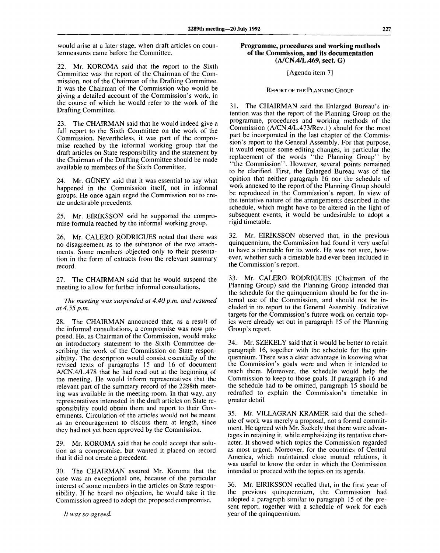would arise at a later stage, when draft articles on countermeasures came before the Committee.

Mr. KOROMA said that the report to the Sixth Committee was the report of the Chairman of the Commission, not of the Chairman of the Drafting Committee. It was the Chairman of the Commission who would be giving a detailed account of the Commission's work, in the course of which he would refer to the work of the Drafting Committee.

23. The CHAIRMAN said that he would indeed give a full report to the Sixth Committee on the work of the Commission. Nevertheless, it was part of the compromise reached by the informal working group that the draft articles on State responsibility and the statement by the Chairman of the Drafting Committee should be made available to members of the Sixth Committee.

24. Mr. GÜNEY said that it was essential to say what happened in the Commission itself, not in informal groups. He once again urged the Commission not to create undesirable precedents.

25. Mr. EIRIKSSON said he supported the compromise formula reached by the informal working group.

26. Mr. CALERO RODRIGUES noted that there was no disagreement as to the substance of the two attachments. Some members objected only to their presentation in the form of extracts from the relevant summary record.

27. The CHAIRMAN said that he would suspend the meeting to allow for further informal consultations.

*The meeting was suspended at 4.40 p.m. and resumed at 4.55 p.m.*

28. The CHAIRMAN announced that, as a result of the informal consultations, a compromise was now proposed. He, as Chairman of the Commission, would make an introductory statement to the Sixth Committee describing the work of the Commission on State responsibility. The description would consist essentially of the revised texts of paragraphs 15 and 16 of document A/CN.4/L.478 that he had read out at the beginning of the meeting. He would inform representatives that the relevant part of the summary record of the 2288th meeting was available in the meeting room. In that way, any representatives interested in the draft articles on State responsibility could obtain them and report to their Governments. Circulation of the articles would not be meant as an encouragement to discuss them at length, since they had not yet been approved by the Commission.

29. Mr. KOROMA said that he could accept that solution as a compromise, but wanted it placed on record that it did not create a precedent.

30. The CHAIRMAN assured Mr. Koroma that the case was an exceptional one, because of the particular interest of some members in the articles on State responsibility. If he heard no objection, he would take it the Commission agreed to adopt the proposed compromise.

*It was so agreed.*

### **Programme, procedures and working methods of the Commission, and its documentation (A/CN.4/L.469, sect. G)**

### [Agenda item 7]

# REPORT OF THE PLANNING GROUP

31. The CHAIRMAN said the Enlarged Bureau's intention was that the report of the Planning Group on the programme, procedures and working methods of the Commission (A/CN.4/L.473/Rev.l) should for the most part be incorporated in the last chapter of the Commission's report to the General Assembly. For that purpose, it would require some editing changes, in particular the replacement of the words "the Planning Group" by "the Commission". However, several points remained to be clarified. First, the Enlarged Bureau was of the opinion that neither paragraph 16 nor the schedule of work annexed to the report of the Planning Group should be reproduced in the Commission's report. In view of the tentative nature of the arrangements described in the schedule, which might have to be altered in the light of subsequent events, it would be undesirable to adopt a rigid timetable.

32. Mr. EIRIKSSON observed that, in the previous quinquennium, the Commission had found it very useful to have a timetable for its work. He was not sure, however, whether such a timetable had ever been included in the Commission's report.

33. Mr. CALERO RODRIGUES (Chairman of the Planning Group) said the Planning Group intended that the schedule for the quinquennium should be for the internal use of the Commission, and should not be included in its report to the General Assembly. Indicative targets for the Commission's future work on certain topics were already set out in paragraph 15 of the Planning Group's report.

34. Mr. SZEKELY said that it would be better to retain paragraph 16, together with the schedule for the quinquennium. There was a clear advantage in knowing what the Commission's goals were and when it intended to reach them. Moreover, the schedule would help the Commission to keep to those goals. If paragraph 16 and the schedule had to be omitted, paragraph 15 should be redrafted to explain the Commission's timetable in greater detail.

35. Mr. VILLAGRAN KRAMER said that the schedule of work was merely a proposal, not a formal commitment. He agreed with Mr. Szekely that there were advantages in retaining it, while emphasizing its tentative character. It showed which topics the Commission regarded as most urgent. Moreover, for the countries of Central America, which maintained close mutual relations, it was useful to know the order in which the Commission intended to proceed with the topics on its agenda.

36. Mr. EIRIKSSON recalled that, in the first year of the previous quinquennium, the Commission had adopted a paragraph similar to paragraph 15 of the present report, together with a schedule of work for each year of the quinquennium.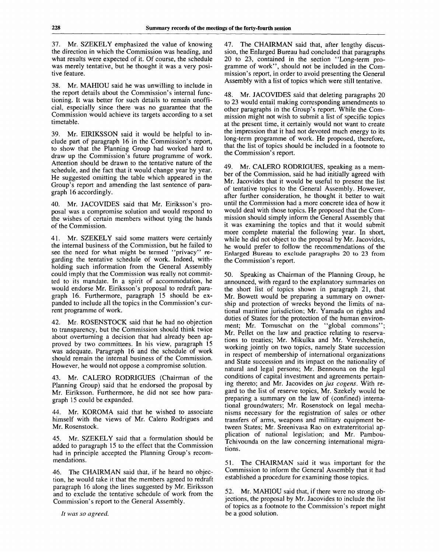37. Mr. SZEKELY emphasized the value of knowing the direction in which the Commission was heading, and what results were expected of it. Of course, the schedule was merely tentative, but he thought it was a very positive feature.

38. Mr. MAHIOU said he was unwilling to include in the report details about the Commission's internal functioning. It was better for such details to remain unofficial, especially since there was no guarantee that the Commission would achieve its targets according to a set timetable.

39. Mr. EIRIKSSON said it would be helpful to include part of paragraph 16 in the Commission's report, to show that the Planning Group had worked hard to draw up the Commission's future programme of work. Attention should be drawn to the tentative nature of the schedule, and the fact that it would change year by year. He suggested omitting the table which appeared in the Group's report and amending the last sentence of paragraph 16 accordingly.

40. Mr. JACOVIDES said that Mr. Eiriksson's proposal was a compromise solution and would respond to the wishes of certain members without tying the hands of the Commission.

41. Mr. SZEKELY said some matters were certainly the internal business of the Commission, but he failed to see the need for what might be termed "privacy" regarding the tentative schedule of work. Indeed, withholding such information from the General Assembly could imply that the Commission was really not committed to its mandate. In a spirit of accommodation, he would endorse Mr. Eiriksson's proposal to redraft paragraph 16. Furthermore, paragraph 15 should be expanded to include all the topics in the Commission's current programme of work.

42. Mr. ROSENSTOCK said that he had no objection to transparency, but the Commission should think twice about overturning a decision that had already been approved by two committees. In his view, paragraph 15 was adequate. Paragraph 16 and the schedule of work should remain the internal business of the Commission. However, he would not oppose a compromise solution.

43. Mr. CALERO RODRIGUES (Chairman of the Planning Group) said that he endorsed the proposal by Mr. Eiriksson. Furthermore, he did not see how paragraph 15 could be expanded.

44. Mr. KOROMA said that he wished to associate himself with the views of Mr. Calero Rodrigues and Mr. Rosenstock.

45. Mr. SZEKELY said that a formulation should be added to paragraph 15 to the effect that the Commission had in principle accepted the Planning Group's recommendations.

46. The CHAIRMAN said that, if he heard no objection, he would take it that the members agreed to redraft paragraph 16 along the lines suggested by Mr. Eiriksson and to exclude the tentative schedule of work from the Commission's report to the General Assembly.

*It was so agreed.*

47. The CHAIRMAN said that, after lengthy discussion, the Enlarged Bureau had concluded that paragraphs 20 to 23, contained in the section "Long-term programme of work", should not be included in the Commission's report, in order to avoid presenting the General Assembly with a list of topics which were still tentative.

48. Mr. JACOVIDES said that deleting paragraphs 20 to 23 would entail making corresponding amendments to other paragraphs in the Group's report. While the Commission might not wish to submit a list of specific topics at the present time, it certainly would not want to create the impression that it had not devoted much energy to its long-term programme of work. He proposed, therefore, that the list of topics should be included in a footnote to the Commission's report.

49. Mr. CALERO RODRIGUES, speaking as a member of the Commission, said he had initially agreed with Mr. Jacovides that it would be useful to present the list of tentative topics to the General Assembly. However, after further consideration, he thought it better to wait until the Commission had a more concrete idea of how it would deal with those topics. He proposed that the Commission should simply inform the General Assembly that it was examining the topics and that it would submit more complete material the following year. In short, while he did not object to the proposal by Mr. Jacovides, he would prefer to follow the recommendations of the Enlarged Bureau to exclude paragraphs 20 to 23 from the Commission's report.

50. Speaking as Chairman of the Planning Group, he announced, with regard to the explanatory summaries on the short list of topics shown in paragraph 21, that Mr. Bowett would be preparing a summary on ownership and protection of wrecks beyond the limits of national maritime jurisdiction; Mr. Yamada on rights and duties of States for the protection of the human environment; Mr. Tomuschat on the "global commons"; Mr. Pellet on the law and practice relating to reservations to treaties; Mr. Mikulka and Mr. Vereshchetin, working jointly on two topics, namely State succession in respect of membership of international organizations and State succession and its impact on the nationality of natural and legal persons; Mr. Bennouna on the legal conditions of capital investment and agreements pertaining thereto; and Mr. Jacovides on *jus cogens.* With regard to the list of reserve topics, Mr. Szekely would be preparing a summary on the law of (confined) international groundwaters; Mr. Rosenstock on legal mechanisms necessary for the registration of sales or other transfers of arms, weapons and military equipment between States; Mr. Sreenivasa Rao on extraterritorial application of national legislation; and Mr. Pambou-Tchivounda on the law concerning international migrations.

51. The CHAIRMAN said it was important for the Commission to inform the General Assembly that it had established a procedure for examining those topics.

52. Mr. MAHIOU said that, if there were no strong objections, the proposal by Mr. Jacovides to include the list of topics as a footnote to the Commission's report might be a good solution.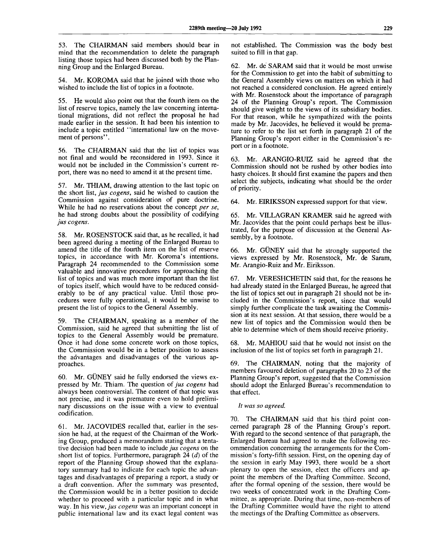53. The CHAIRMAN said members should bear in mind that the recommendation to delete the paragraph listing those topics had been discussed both by the Planning Group and the Enlarged Bureau.

54. Mr. KOROMA said that he joined with those who wished to include the list of topics in a footnote.

55. He would also point out that the fourth item on the list of reserve topics, namely the law concerning international migrations, did not reflect the proposal he had made earlier in the session. It had been his intention to include a topic entitled "international law on the movement of persons".

56. The CHAIRMAN said that the list of topics was not final and would be reconsidered in 1993. Since it would not be included in the Commission's current report, there was no need to amend it at the present time.

57. Mr. THIAM, drawing attention to the last topic on the short list, *jus cogens,* said he wished to caution the Commission against consideration of pure doctrine. While he had no reservations about the concept *per se,* he had strong doubts about the possibility of codifying *jus cogens.*

58. Mr. ROSENSTOCK said that, as he recalled, it had been agreed during a meeting of the Enlarged Bureau to amend the title of the fourth item on the list of reserve topics, in accordance with Mr. Koroma's intentions. Paragraph 24 recommended to the Commission some valuable and innovative procedures for approaching the list of topics and was much more important than the list of topics itself, which would have to be reduced considerably to be of any practical value. Until those procedures were fully operational, it would be unwise to present the list of topics to the General Assembly.

59. The CHAIRMAN, speaking as a member of the Commission, said he agreed that submitting the list of topics to the General Assembly would be premature. Once it had done some concrete work on those topics, the Commission would be in a better position to assess the advantages and disadvantages of the various approaches.

60. Mr. GUNEY said he fully endorsed the views expressed by Mr. Thiam. The question of *jus cogens* had always been controversial. The content of that topic was not precise, and it was premature even to hold preliminary discussions on the issue with a view to eventual codification.

61. Mr. JACOVIDES recalled that, earlier in the session he had, at the request of the Chairman of the Working Group, produced a memorandum stating that a tentative decision had been made to include *jus cogens* on the short list of topics. Furthermore, paragraph 24 *(d)* of the report of the Planning Group showed that the explanatory summary had to indicate for each topic the advantages and disadvantages of preparing a report, a study or a draft convention. After the summary was presented, the Commission would be in a better position to decide whether to proceed with a particular topic and in what way. In his *view, jus cogens* was an important concept in public international law and its exact legal content was

not established. The Commission was the body best suited to fill in that gap.

62. Mr. de SARAM said that it would be most unwise for the Commission to get into the habit of submitting to the General Assembly views on matters on which it had not reached a considered conclusion. He agreed entirely with Mr. Rosenstock about the importance of paragraph 24 of the Planning Group's report. The Commission should give weight to the views of its subsidiary bodies. For that reason, while he sympathized with the points made by Mr. Jacovides, he believed it would be premature to refer to the list set forth in paragraph 21 of the Planning Group's report either in the Commission's report or in a footnote.

63. Mr. ARANGIO-RUIZ said he agreed that the Commission should not be rushed by other bodies into hasty choices. It should first examine the papers and then select the subjects, indicating what should be the order of priority.

64. Mr. EIRIKSSON expressed support for that view.

65. Mr. VILLAGRAN KRAMER said he agreed with Mr. Jacovides that the point could perhaps best be illustrated, for the purpose of discussion at the General Assembly, by a footnote.

66. Mr. GUNEY said that he strongly supported the views expressed by Mr. Rosenstock, Mr. de Saram, Mr. Arangio-Ruiz and Mr. Eiriksson.

67. Mr. VERESHCHETIN said that, for the reasons he had already stated in the Enlarged Bureau, he agreed that the list of topics set out in paragraph 21 should not be included in the Commission's report, since that would simply further complicate the task awaiting the Commission at its next session. At that session, there would be a new list of topics and the Commission would then be able to determine which of them should receive priority.

68. Mr. MAHIOU said that he would not insist on the inclusion of the list of topics set forth in paragraph 21.

69. The CHAIRMAN, noting that the majority of members favoured deletion of paragraphs 20 to 23 of the Planning Group's report, suggested that the Commission should adopt the Enlarged Bureau's recommendation to that effect.

### *It was so agreed.*

70. The CHAIRMAN said that his third point concerned paragraph 28 of the Planning Group's report. With regard to the second sentence of that paragraph, the Enlarged Bureau had agreed to make the following recommendation concerning the arrangements for the Commission's forty-fifth session. First, on the opening day of the session in early May 1993, there would be a short plenary to open the session, elect the officers and appoint the members of the Drafting Committee. Second, after the formal opening of the session, there would be two weeks of concentrated work in the Drafting Committee, as appropriate. During that time, non-members of the Drafting Committee would have the right to attend the meetings of the Drafting Committee as observers.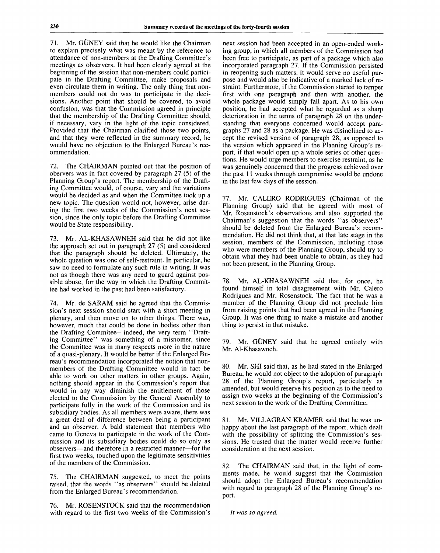71. Mr. GÜNEY said that he would like the Chairman to explain precisely what was meant by the reference to attendance of non-members at the Drafting Committee's meetings as observers. It had been clearly agreed at the beginning of the session that non-members could participate in the Drafting Committee, make proposals and even circulate them in writing. The only thing that nonmembers could not do was to participate in the decisions. Another point that should be covered, to avoid confusion, was that the Commission agreed in principle that the membership of the Drafting Committee should, if necessary, vary in the light of the topic considered. Provided that the Chairman clarified those two points, and that they were reflected in the summary record, he would have no objection to the Enlarged Bureau's recommendation.

72. The CHAIRMAN pointed out that the position of obervers was in fact covered by paragraph 27 (5) of the Planning Group's report. The membership of the Drafting Committee would, of course, vary and the variations would be decided as and when the Committee took up a new topic. The question would not, however, arise during the first two weeks of the Commission's next session, since the only topic before the Drafting Committee would be State responsibility.

73. Mr. AL-KHASAWNEH said that he did not like the approach set out in paragraph 27 (5) and considered that the paragraph should be deleted. Ultimately, the whole question was one of self-restraint. In particular, he saw no need to formulate any such rule in writing. It was not as though there was any need to guard against possible abuse, for the way in which the Drafting Committee had worked in the past had been satisfactory.

74. Mr. de SARAM said he agreed that the Commission's next session should start with a short meeting in plenary, and then move on to other things. There was, however, much that could be done in bodies other than the Drafting Commitee—indeed, the very term "Drafting Committee" was something of a misnomer, since the Committee was in many respects more in the nature of a quasi-plenary. It would be better if the Enlarged Bureau's recommendation incorporated the notion that nonmembers of the Drafting Committee would in fact be able to work on other matters in other groups. Again, nothing should appear in the Commission's report that would in any way diminish the entitlement of those elected to the Commission by the General Assembly to participate fully in the work of the Commission and its subsidiary bodies. As all members were aware, there was a great deal of difference between being a participant and an observer. A bald statement that members who came to Geneva to participate in the work of the Commission and its subsidiary bodies could do so only as observers—and therefore in a restricted manner—for the first two weeks, touched upon the legitimate sensitivities of the members of the Commission.

75. The CHAIRMAN suggested, to meet the points raised, that the words "as observers" should be deleted from the Enlarged Bureau's recommendation.

76. Mr. ROSENSTOCK said that the recommendation with regard to the first two weeks of the Commission's

next session had been accepted in an open-ended working group, in which all members of the Commission had been free to participate, as part of a package which also incorporated paragraph 27. If the Commission persisted in reopening such matters, it would serve no useful purpose and would also be indicative of a marked lack of restraint. Furthermore, if the Commission started to tamper first with one paragraph and then with another, the whole package would simply fall apart. As to his own position, he had accepted what he regarded as a sharp deterioration in the terms of paragraph 28 on the understanding that everyone concerned would accept paragraphs 27 and 28 as a package. He was disinclined to accept the revised version of paragraph 28, as opposed to the version which appeared in the Planning Group's report, if that would open up a whole series of other questions. He would urge members to exercise restraint, as he was genuinely concerned that the progress achieved over the past 11 weeks through compromise would be undone in the last few days of the session.

77. Mr. CALERO RODRIGUES (Chairman of the Planning Group) said that he agreed with most of Mr. Rosenstock's observations and also supported the Chairman's suggestion that the words "as observers" should be deleted from the Enlarged Bureau's recommendation. He did not think that, at that late stage in the session, members of the Commission, including those who were members of the Planning Group, should try to obtain what they had been unable to obtain, as they had not been present, in the Planning Group.

78. Mr. AL-KHASAWNEH said that, for once, he found himself in total disagreement with Mr. Calero Rodrigues and Mr. Rosenstock. The fact that he was a member of the Planning Group did not preclude him from raising points that had been agreed in the Planning Group. It was one thing to make a mistake and another thing to persist in that mistake.

79. Mr. GÜNEY said that he agreed entirely with Mr. Al-Khasawneh.

80. Mr. SHI said that, as he had stated in the Enlarged Bureau, he would not object to the adoption of paragraph 28 of the Planning Group's report, particularly as amended, but would reserve his position as to the need to assign two weeks at the beginning of the Commission's next session to the work of the Drafting Committee.

81. Mr. VILLAGRAN KRAMER said that he was unhappy about the last paragraph of the report, which dealt with the possibility of splitting the Commission's sessions. He trusted that the matter would receive further consideration at the next session.

82. The CHAIRMAN said that, in the light of comments made, he would suggest that the Commission should adopt the Enlarged Bureau's recommendation with regard to paragraph 28 of the Planning Group's report.

// *was so agreed.*